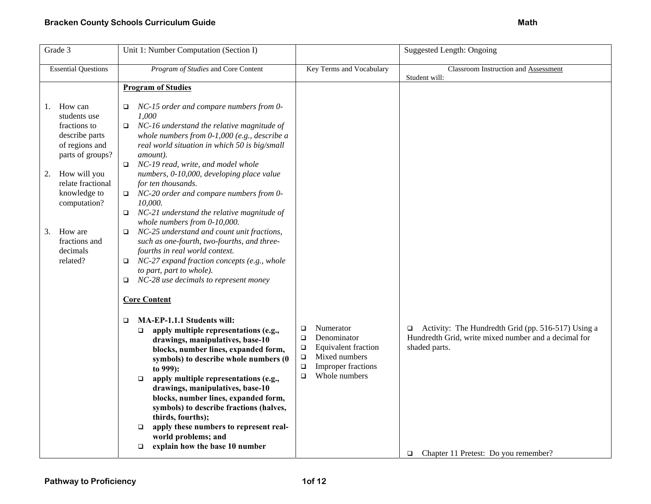| Grade 3                                                                                                                                                                                                                                    | Unit 1: Number Computation (Section I)                                                                                                                                                                                                                                                                                                                                                                                                                                                                                                                                                                                                                                                                                                                                                                     |                                                                                                                                                                            | Suggested Length: Ongoing                                                                                                                                                            |
|--------------------------------------------------------------------------------------------------------------------------------------------------------------------------------------------------------------------------------------------|------------------------------------------------------------------------------------------------------------------------------------------------------------------------------------------------------------------------------------------------------------------------------------------------------------------------------------------------------------------------------------------------------------------------------------------------------------------------------------------------------------------------------------------------------------------------------------------------------------------------------------------------------------------------------------------------------------------------------------------------------------------------------------------------------------|----------------------------------------------------------------------------------------------------------------------------------------------------------------------------|--------------------------------------------------------------------------------------------------------------------------------------------------------------------------------------|
| <b>Essential Questions</b>                                                                                                                                                                                                                 | Program of Studies and Core Content                                                                                                                                                                                                                                                                                                                                                                                                                                                                                                                                                                                                                                                                                                                                                                        | Key Terms and Vocabulary                                                                                                                                                   | Classroom Instruction and Assessment<br>Student will:                                                                                                                                |
|                                                                                                                                                                                                                                            | <b>Program of Studies</b>                                                                                                                                                                                                                                                                                                                                                                                                                                                                                                                                                                                                                                                                                                                                                                                  |                                                                                                                                                                            |                                                                                                                                                                                      |
| How can<br>1.<br>students use<br>fractions to<br>describe parts<br>of regions and<br>parts of groups?<br>How will you<br>2.<br>relate fractional<br>knowledge to<br>computation?<br>How are<br>3.<br>fractions and<br>decimals<br>related? | NC-15 order and compare numbers from 0-<br>□<br>1.000<br>NC-16 understand the relative magnitude of<br>$\Box$<br>whole numbers from $0-1,000$ (e.g., describe a<br>real world situation in which 50 is big/small<br>amount).<br>NC-19 read, write, and model whole<br>$\Box$<br>numbers, 0-10,000, developing place value<br>for ten thousands.<br>NC-20 order and compare numbers from 0-<br>$\Box$<br>10,000.<br>NC-21 understand the relative magnitude of<br>$\Box$<br>whole numbers from 0-10,000.<br>NC-25 understand and count unit fractions,<br>$\Box$<br>such as one-fourth, two-fourths, and three-<br>fourths in real world context.<br>NC-27 expand fraction concepts (e.g., whole<br>$\Box$<br>to part, part to whole).<br>NC-28 use decimals to represent money<br>□<br><b>Core Content</b> |                                                                                                                                                                            |                                                                                                                                                                                      |
|                                                                                                                                                                                                                                            | MA-EP-1.1.1 Students will:<br>□<br>apply multiple representations (e.g.,<br>$\Box$<br>drawings, manipulatives, base-10<br>blocks, number lines, expanded form,<br>symbols) to describe whole numbers (0<br>to 999):<br>apply multiple representations (e.g.,<br>$\Box$<br>drawings, manipulatives, base-10<br>blocks, number lines, expanded form,<br>symbols) to describe fractions (halves,<br>thirds, fourths);<br>apply these numbers to represent real-<br>$\Box$<br>world problems; and<br>explain how the base 10 number<br>$\Box$                                                                                                                                                                                                                                                                  | Numerator<br>$\Box$<br>Denominator<br>$\Box$<br>$\Box$<br>Equivalent fraction<br>Mixed numbers<br>$\Box$<br><b>Improper fractions</b><br>$\Box$<br>Whole numbers<br>$\Box$ | $\Box$ Activity: The Hundredth Grid (pp. 516-517) Using a<br>Hundredth Grid, write mixed number and a decimal for<br>shaded parts.<br>Chapter 11 Pretest: Do you remember?<br>$\Box$ |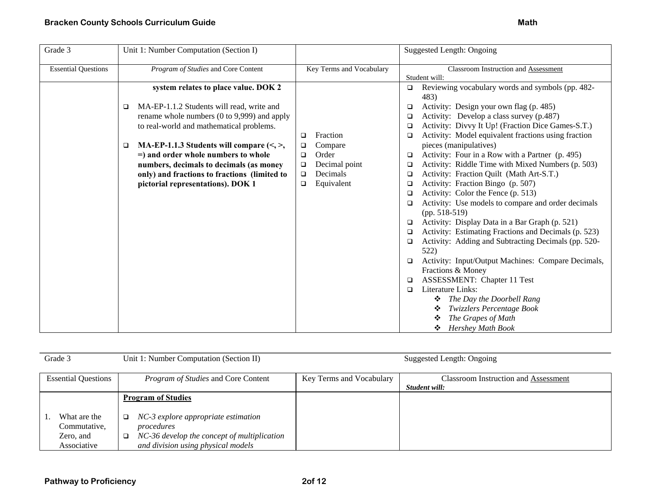| Grade 3                    | Unit 1: Number Computation (Section I)                                                                                                                                                                                                                                                                                                                                                                              |                                                                                                                                | <b>Suggested Length: Ongoing</b>                                                                                                                                                                                                                                                                                                                                                                                                                                                                                                                                                                                                                                                                                                                                                                                                                                                                                                                                                                                                                                                                                   |
|----------------------------|---------------------------------------------------------------------------------------------------------------------------------------------------------------------------------------------------------------------------------------------------------------------------------------------------------------------------------------------------------------------------------------------------------------------|--------------------------------------------------------------------------------------------------------------------------------|--------------------------------------------------------------------------------------------------------------------------------------------------------------------------------------------------------------------------------------------------------------------------------------------------------------------------------------------------------------------------------------------------------------------------------------------------------------------------------------------------------------------------------------------------------------------------------------------------------------------------------------------------------------------------------------------------------------------------------------------------------------------------------------------------------------------------------------------------------------------------------------------------------------------------------------------------------------------------------------------------------------------------------------------------------------------------------------------------------------------|
| <b>Essential Questions</b> | Program of Studies and Core Content                                                                                                                                                                                                                                                                                                                                                                                 | Key Terms and Vocabulary                                                                                                       | Classroom Instruction and Assessment<br>Student will:                                                                                                                                                                                                                                                                                                                                                                                                                                                                                                                                                                                                                                                                                                                                                                                                                                                                                                                                                                                                                                                              |
|                            | system relates to place value. DOK 2<br>MA-EP-1.1.2 Students will read, write and<br>❏<br>rename whole numbers (0 to 9,999) and apply<br>to real-world and mathematical problems.<br>MA-EP-1.1.3 Students will compare $(\leq, >)$ ,<br>□<br>$=$ ) and order whole numbers to whole<br>numbers, decimals to decimals (as money<br>only) and fractions to fractions (limited to<br>pictorial representations). DOK 1 | Fraction<br>□<br>Compare<br>$\Box$<br>Order<br>$\Box$<br>Decimal point<br>$\Box$<br>Decimals<br>$\Box$<br>Equivalent<br>$\Box$ | Reviewing vocabulary words and symbols (pp. 482-<br>483)<br>Activity: Design your own flag (p. 485)<br>❏<br>Activity: Develop a class survey (p.487)<br>□<br>Activity: Divvy It Up! (Fraction Dice Games-S.T.)<br>□<br>Activity: Model equivalent fractions using fraction<br>□<br>pieces (manipulatives)<br>Activity: Four in a Row with a Partner (p. 495)<br>□<br>Activity: Riddle Time with Mixed Numbers (p. 503)<br>□<br>Activity: Fraction Quilt (Math Art-S.T.)<br>□<br>Activity: Fraction Bingo (p. 507)<br>□<br>Activity: Color the Fence (p. 513)<br>□<br>Activity: Use models to compare and order decimals<br>□<br>$(pp. 518-519)$<br>Activity: Display Data in a Bar Graph (p. 521)<br>❏<br>Activity: Estimating Fractions and Decimals (p. 523)<br>□<br>Activity: Adding and Subtracting Decimals (pp. 520-<br>❏<br>522)<br>Activity: Input/Output Machines: Compare Decimals,<br>□<br>Fractions & Money<br><b>ASSESSMENT:</b> Chapter 11 Test<br>□<br>Literature Links:<br>□<br>The Day the Doorbell Rang<br>Twizzlers Percentage Book<br>❖<br>The Grapes of Math<br><b>Hershey Math Book</b><br>❖ |

| Grade 3                                                  | Unit 1: Number Computation (Section II)                                                                                                                                  |                          | Suggested Length: Ongoing                                    |
|----------------------------------------------------------|--------------------------------------------------------------------------------------------------------------------------------------------------------------------------|--------------------------|--------------------------------------------------------------|
| <b>Essential Questions</b>                               | Program of Studies and Core Content                                                                                                                                      | Key Terms and Vocabulary | <b>Classroom Instruction and Assessment</b><br>Student will: |
| What are the<br>Commutative,<br>Zero, and<br>Associative | <b>Program of Studies</b><br>NC-3 explore appropriate estimation<br>□<br>procedures<br>NC-36 develop the concept of multiplication<br>and division using physical models |                          |                                                              |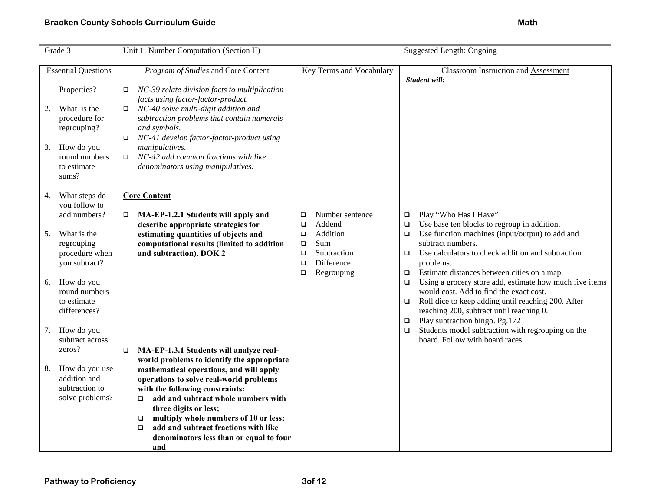## **Bracken County Schools Curriculum Guide Math Accord Accord Accord Math Accord Math Accord Math Accord Math** Math

| Grade 3 |                                                            |             | Unit 1: Number Computation (Section II)                                                                                                                                                                           |                                      |                                                |                            | <b>Suggested Length: Ongoing</b>                                                                                                                                                                                                       |
|---------|------------------------------------------------------------|-------------|-------------------------------------------------------------------------------------------------------------------------------------------------------------------------------------------------------------------|--------------------------------------|------------------------------------------------|----------------------------|----------------------------------------------------------------------------------------------------------------------------------------------------------------------------------------------------------------------------------------|
|         | <b>Essential Questions</b>                                 |             | Program of Studies and Core Content                                                                                                                                                                               |                                      | Key Terms and Vocabulary                       |                            | <b>Classroom Instruction and Assessment</b><br>Student will:                                                                                                                                                                           |
|         | Properties?                                                | $\Box$      | NC-39 relate division facts to multiplication<br>facts using factor-factor-product.                                                                                                                               |                                      |                                                |                            |                                                                                                                                                                                                                                        |
| 2.      | What is the<br>procedure for<br>regrouping?                | $\Box$      | NC-40 solve multi-digit addition and<br>subtraction problems that contain numerals<br>and symbols.<br>NC-41 develop factor-factor-product using                                                                   |                                      |                                                |                            |                                                                                                                                                                                                                                        |
| 3.      | How do you<br>round numbers<br>to estimate<br>sums?        | □<br>$\Box$ | manipulatives.<br>NC-42 add common fractions with like<br>denominators using manipulatives.                                                                                                                       |                                      |                                                |                            |                                                                                                                                                                                                                                        |
| 4.      | What steps do<br>you follow to                             |             | <b>Core Content</b>                                                                                                                                                                                               |                                      |                                                |                            |                                                                                                                                                                                                                                        |
| 5.      | add numbers?<br>What is the                                | □           | MA-EP-1.2.1 Students will apply and<br>describe appropriate strategies for<br>estimating quantities of objects and                                                                                                | $\Box$<br>$\Box$<br>$\Box$           | Number sentence<br>Addend<br>Addition          | $\Box$<br>$\Box$<br>$\Box$ | Play "Who Has I Have"<br>Use base ten blocks to regroup in addition.<br>Use function machines (input/output) to add and                                                                                                                |
|         | regrouping<br>procedure when<br>you subtract?              |             | computational results (limited to addition<br>and subtraction). DOK 2                                                                                                                                             | $\Box$<br>$\Box$<br>$\Box$<br>$\Box$ | Sum<br>Subtraction<br>Difference<br>Regrouping | $\Box$<br>$\Box$           | subtract numbers.<br>Use calculators to check addition and subtraction<br>problems.<br>Estimate distances between cities on a map.                                                                                                     |
| 6.      | How do you<br>round numbers<br>to estimate<br>differences? |             |                                                                                                                                                                                                                   |                                      |                                                | $\Box$<br>$\Box$<br>$\Box$ | Using a grocery store add, estimate how much five items<br>would cost. Add to find the exact cost.<br>Roll dice to keep adding until reaching 200. After<br>reaching 200, subtract until reaching 0.<br>Play subtraction bingo. Pg.172 |
| 7.      | How do you<br>subtract across<br>zeros?                    | $\Box$      | MA-EP-1.3.1 Students will analyze real-                                                                                                                                                                           |                                      |                                                | $\Box$                     | Students model subtraction with regrouping on the<br>board. Follow with board races.                                                                                                                                                   |
| 8.      | How do you use<br>addition and<br>subtraction to           |             | world problems to identify the appropriate<br>mathematical operations, and will apply<br>operations to solve real-world problems<br>with the following constraints:                                               |                                      |                                                |                            |                                                                                                                                                                                                                                        |
|         | solve problems?                                            |             | add and subtract whole numbers with<br>$\Box$<br>three digits or less;<br>multiply whole numbers of 10 or less;<br>□<br>add and subtract fractions with like<br>$\Box$<br>denominators less than or equal to four |                                      |                                                |                            |                                                                                                                                                                                                                                        |
|         |                                                            |             | and                                                                                                                                                                                                               |                                      |                                                |                            |                                                                                                                                                                                                                                        |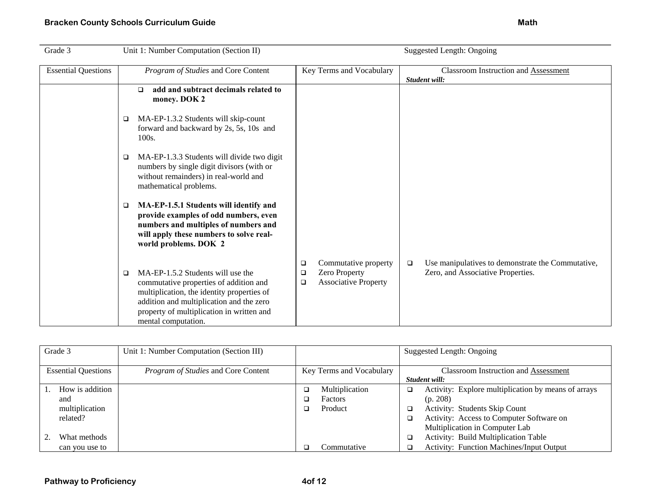| Grade 3                    | Unit 1: Number Computation (Section II)                                                                                                                                                                                                        | Suggested Length: Ongoing                                                                |                                                                                                  |  |  |
|----------------------------|------------------------------------------------------------------------------------------------------------------------------------------------------------------------------------------------------------------------------------------------|------------------------------------------------------------------------------------------|--------------------------------------------------------------------------------------------------|--|--|
| <b>Essential Questions</b> | Program of Studies and Core Content                                                                                                                                                                                                            | Key Terms and Vocabulary                                                                 | <b>Classroom Instruction and Assessment</b><br>Student will:                                     |  |  |
|                            | add and subtract decimals related to<br>$\Box$<br>money. DOK 2                                                                                                                                                                                 |                                                                                          |                                                                                                  |  |  |
|                            | MA-EP-1.3.2 Students will skip-count<br>□<br>forward and backward by 2s, 5s, 10s and<br>100s.                                                                                                                                                  |                                                                                          |                                                                                                  |  |  |
|                            | MA-EP-1.3.3 Students will divide two digit<br>□<br>numbers by single digit divisors (with or<br>without remainders) in real-world and<br>mathematical problems.                                                                                |                                                                                          |                                                                                                  |  |  |
|                            | MA-EP-1.5.1 Students will identify and<br>□<br>provide examples of odd numbers, even<br>numbers and multiples of numbers and<br>will apply these numbers to solve real-<br>world problems. DOK 2                                               |                                                                                          |                                                                                                  |  |  |
|                            | MA-EP-1.5.2 Students will use the<br>□<br>commutative properties of addition and<br>multiplication, the identity properties of<br>addition and multiplication and the zero<br>property of multiplication in written and<br>mental computation. | Commutative property<br>❏<br>Zero Property<br>□<br><b>Associative Property</b><br>$\Box$ | Use manipulatives to demonstrate the Commutative,<br>$\Box$<br>Zero, and Associative Properties. |  |  |

|                            | Grade 3                                              | Unit 1: Number Computation (Section III) |                          |                                      |                       | Suggested Length: Ongoing                                                                                                                                                      |  |
|----------------------------|------------------------------------------------------|------------------------------------------|--------------------------|--------------------------------------|-----------------------|--------------------------------------------------------------------------------------------------------------------------------------------------------------------------------|--|
| <b>Essential Questions</b> |                                                      | Program of Studies and Core Content      | Key Terms and Vocabulary |                                      |                       | <b>Classroom Instruction and Assessment</b><br>Student will:                                                                                                                   |  |
|                            | How is addition<br>and<br>multiplication<br>related? |                                          |                          | Multiplication<br>Factors<br>Product | $\Box$<br>□<br>$\Box$ | Activity: Explore multiplication by means of arrays<br>(p. 208)<br>Activity: Students Skip Count<br>Activity: Access to Computer Software on<br>Multiplication in Computer Lab |  |
|                            | What methods<br>can you use to                       |                                          |                          | Commutative                          | $\Box$<br>□           | Activity: Build Multiplication Table<br><b>Activity: Function Machines/Input Output</b>                                                                                        |  |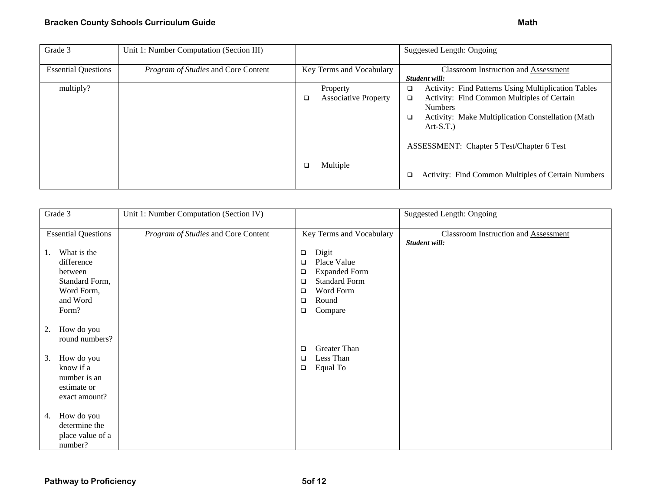| Grade 3                    | Unit 1: Number Computation (Section III) |                                              | Suggested Length: Ongoing                                                                                                                                                                                                                                                  |
|----------------------------|------------------------------------------|----------------------------------------------|----------------------------------------------------------------------------------------------------------------------------------------------------------------------------------------------------------------------------------------------------------------------------|
| <b>Essential Questions</b> | Program of Studies and Core Content      | Key Terms and Vocabulary                     | <b>Classroom Instruction and Assessment</b><br>Student will:                                                                                                                                                                                                               |
| multiply?                  |                                          | Property<br><b>Associative Property</b><br>□ | <b>Activity: Find Patterns Using Multiplication Tables</b><br>$\Box$<br>Activity: Find Common Multiples of Certain<br>$\Box$<br><b>Numbers</b><br>Activity: Make Multiplication Constellation (Math<br>$\Box$<br>$Art-S.T.$ )<br>ASSESSMENT: Chapter 5 Test/Chapter 6 Test |
|                            |                                          | Multiple                                     | Activity: Find Common Multiples of Certain Numbers<br>$\Box$                                                                                                                                                                                                               |

| Grade 3                                                                                                             | Unit 1: Number Computation (Section IV) |                                                                  | Suggested Length: Ongoing                   |
|---------------------------------------------------------------------------------------------------------------------|-----------------------------------------|------------------------------------------------------------------|---------------------------------------------|
| <b>Essential Questions</b>                                                                                          | Program of Studies and Core Content     | Key Terms and Vocabulary                                         | <b>Classroom Instruction and Assessment</b> |
|                                                                                                                     |                                         |                                                                  | Student will:                               |
| What is the<br>1.                                                                                                   |                                         | Digit<br>$\Box$                                                  |                                             |
| difference                                                                                                          |                                         | Place Value<br>❏                                                 |                                             |
| between                                                                                                             |                                         | <b>Expanded Form</b><br>❏                                        |                                             |
| Standard Form,                                                                                                      |                                         | <b>Standard Form</b><br>□                                        |                                             |
| Word Form,                                                                                                          |                                         | Word Form<br>$\Box$                                              |                                             |
| and Word                                                                                                            |                                         | Round<br>□                                                       |                                             |
| Form?                                                                                                               |                                         | Compare<br>□                                                     |                                             |
| How do you<br>2.<br>round numbers?<br>How do you<br>3.<br>know if a<br>number is an<br>estimate or<br>exact amount? |                                         | <b>Greater Than</b><br>❏<br>Less Than<br>❏<br>Equal To<br>$\Box$ |                                             |
| How do you<br>4.<br>determine the<br>place value of a<br>number?                                                    |                                         |                                                                  |                                             |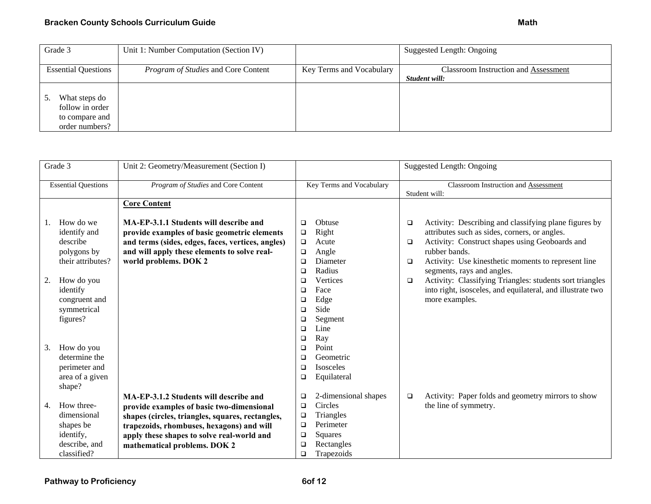| Grade 3                    | Unit 1: Number Computation (Section IV) |                          | Suggested Length: Ongoing                   |
|----------------------------|-----------------------------------------|--------------------------|---------------------------------------------|
|                            |                                         |                          |                                             |
| <b>Essential Questions</b> | Program of Studies and Core Content     | Key Terms and Vocabulary | <b>Classroom Instruction and Assessment</b> |
|                            |                                         |                          | Student will:                               |
|                            |                                         |                          |                                             |
| What steps do              |                                         |                          |                                             |
| follow in order            |                                         |                          |                                             |
| to compare and             |                                         |                          |                                             |
| order numbers?             |                                         |                          |                                             |

| Grade 3 |                            | Unit 2: Geometry/Measurement (Section I)          |                          |                      | Suggested Length: Ongoing |                                                            |
|---------|----------------------------|---------------------------------------------------|--------------------------|----------------------|---------------------------|------------------------------------------------------------|
|         | <b>Essential Questions</b> | Program of Studies and Core Content               | Key Terms and Vocabulary |                      |                           | Classroom Instruction and Assessment                       |
|         |                            |                                                   |                          |                      |                           | Student will:                                              |
|         |                            | <b>Core Content</b>                               |                          |                      |                           |                                                            |
|         |                            |                                                   |                          |                      |                           |                                                            |
|         | How do we                  | MA-EP-3.1.1 Students will describe and            | $\Box$                   | Obtuse               | $\Box$                    | Activity: Describing and classifying plane figures by      |
|         | identify and               | provide examples of basic geometric elements      | $\Box$                   | Right                |                           | attributes such as sides, corners, or angles.              |
|         | describe                   | and terms (sides, edges, faces, vertices, angles) | $\Box$                   | Acute                | $\Box$                    | Activity: Construct shapes using Geoboards and             |
|         | polygons by                | and will apply these elements to solve real-      | $\Box$                   | Angle                |                           | rubber bands.                                              |
|         | their attributes?          | world problems. DOK 2                             | $\Box$                   | Diameter             | $\Box$                    | Activity: Use kinesthetic moments to represent line        |
|         |                            |                                                   | $\Box$                   | Radius               |                           | segments, rays and angles.                                 |
| 2.      | How do you                 |                                                   | $\Box$                   | Vertices             | $\Box$                    | Activity: Classifying Triangles: students sort triangles   |
|         | identify                   |                                                   | $\Box$                   | Face                 |                           | into right, isosceles, and equilateral, and illustrate two |
|         | congruent and              |                                                   | $\Box$                   | Edge                 |                           | more examples.                                             |
|         | symmetrical                |                                                   | $\Box$                   | Side                 |                           |                                                            |
|         | figures?                   |                                                   | $\Box$                   | Segment              |                           |                                                            |
|         |                            |                                                   | $\Box$                   | Line                 |                           |                                                            |
|         |                            |                                                   | $\Box$                   | Ray                  |                           |                                                            |
| 3.      | How do you                 |                                                   | $\Box$                   | Point                |                           |                                                            |
|         | determine the              |                                                   | $\Box$                   | Geometric            |                           |                                                            |
|         | perimeter and              |                                                   | $\Box$                   | Isosceles            |                           |                                                            |
|         | area of a given            |                                                   | □                        | Equilateral          |                           |                                                            |
|         | shape?                     |                                                   |                          |                      |                           |                                                            |
|         |                            | MA-EP-3.1.2 Students will describe and            | $\Box$                   | 2-dimensional shapes | $\Box$                    | Activity: Paper folds and geometry mirrors to show         |
| 4.      | How three-                 | provide examples of basic two-dimensional         | $\Box$                   | Circles              |                           | the line of symmetry.                                      |
|         | dimensional                | shapes (circles, triangles, squares, rectangles,  | $\Box$                   | Triangles            |                           |                                                            |
|         | shapes be                  | trapezoids, rhombuses, hexagons) and will         | $\Box$                   | Perimeter            |                           |                                                            |
|         | identify,                  | apply these shapes to solve real-world and        | $\Box$                   | Squares              |                           |                                                            |
|         | describe, and              | mathematical problems. DOK 2                      | $\Box$                   | Rectangles           |                           |                                                            |
|         |                            |                                                   |                          |                      |                           |                                                            |
|         | classified?                |                                                   | $\Box$                   | Trapezoids           |                           |                                                            |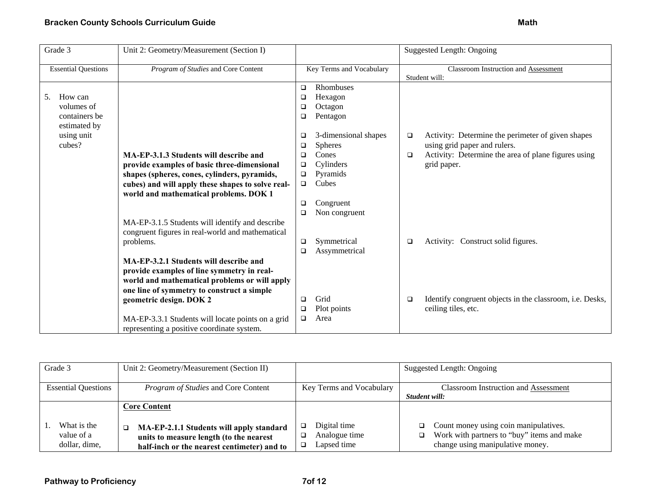| Grade 3                                                                              | Unit 2: Geometry/Measurement (Section I)                                                                                                                                                                                                                                                                                                                                                                                              |                                                          |                                                                                                                                         | <b>Suggested Length: Ongoing</b>                      |                                                                                                                                                         |  |
|--------------------------------------------------------------------------------------|---------------------------------------------------------------------------------------------------------------------------------------------------------------------------------------------------------------------------------------------------------------------------------------------------------------------------------------------------------------------------------------------------------------------------------------|----------------------------------------------------------|-----------------------------------------------------------------------------------------------------------------------------------------|-------------------------------------------------------|---------------------------------------------------------------------------------------------------------------------------------------------------------|--|
| <b>Essential Questions</b>                                                           | Program of Studies and Core Content                                                                                                                                                                                                                                                                                                                                                                                                   | Key Terms and Vocabulary                                 |                                                                                                                                         | Classroom Instruction and Assessment<br>Student will: |                                                                                                                                                         |  |
| How can<br>5.<br>volumes of<br>containers be<br>estimated by<br>using unit<br>cubes? | MA-EP-3.1.3 Students will describe and<br>provide examples of basic three-dimensional<br>shapes (spheres, cones, cylinders, pyramids,<br>cubes) and will apply these shapes to solve real-<br>world and mathematical problems. DOK 1                                                                                                                                                                                                  | □<br>❏<br>❏<br>□<br>❏<br>□<br>□<br>❏<br>$\Box$<br>$\Box$ | <b>Rhombuses</b><br>Hexagon<br>Octagon<br>Pentagon<br>3-dimensional shapes<br><b>Spheres</b><br>Cones<br>Cylinders<br>Pyramids<br>Cubes | $\Box$<br>$\Box$                                      | Activity: Determine the perimeter of given shapes<br>using grid paper and rulers.<br>Activity: Determine the area of plane figures using<br>grid paper. |  |
|                                                                                      | MA-EP-3.1.5 Students will identify and describe<br>congruent figures in real-world and mathematical<br>problems.<br>MA-EP-3.2.1 Students will describe and<br>provide examples of line symmetry in real-<br>world and mathematical problems or will apply<br>one line of symmetry to construct a simple<br>geometric design. DOK 2<br>MA-EP-3.3.1 Students will locate points on a grid<br>representing a positive coordinate system. | ❏<br>□<br>$\Box$<br>□<br>❏<br>□                          | Congruent<br>Non congruent<br>Symmetrical<br>Assymmetrical<br>Grid<br>Plot points<br>Area                                               | □<br>$\Box$                                           | Activity: Construct solid figures.<br>Identify congruent objects in the classroom, i.e. Desks,<br>ceiling tiles, etc.                                   |  |

| Grade 3                                    | Unit 2: Geometry/Measurement (Section II)                                                                                          |                                                             | Suggested Length: Ongoing                                                                                               |
|--------------------------------------------|------------------------------------------------------------------------------------------------------------------------------------|-------------------------------------------------------------|-------------------------------------------------------------------------------------------------------------------------|
| <b>Essential Questions</b>                 | <i>Program of Studies</i> and Core Content                                                                                         | Key Terms and Vocabulary                                    | <b>Classroom Instruction and Assessment</b>                                                                             |
|                                            |                                                                                                                                    |                                                             | Student will:                                                                                                           |
|                                            | Core Content                                                                                                                       |                                                             |                                                                                                                         |
| What is the<br>value of a<br>dollar, dime, | MA-EP-2.1.1 Students will apply standard<br>units to measure length (to the nearest<br>half-inch or the nearest centimeter) and to | Digital time<br>❏<br>Analogue time<br>□<br>Lapsed time<br>❏ | Count money using coin manipulatives.<br>Work with partners to "buy" items and make<br>change using manipulative money. |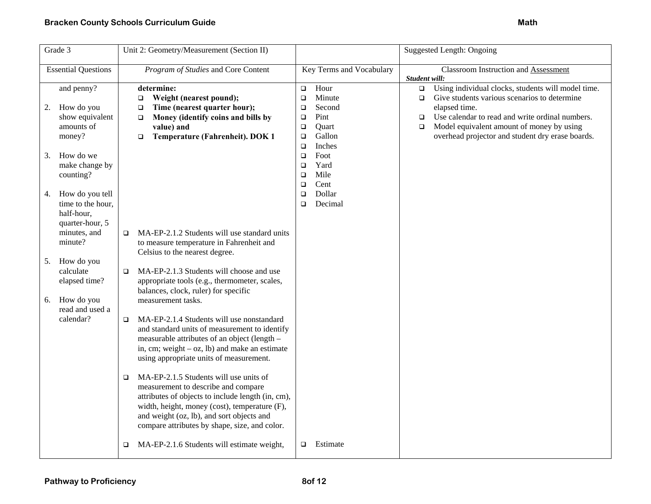| Grade 3                       | Unit 2: Geometry/Measurement (Section II)              |                            | <b>Suggested Length: Ongoing</b>                             |
|-------------------------------|--------------------------------------------------------|----------------------------|--------------------------------------------------------------|
| <b>Essential Questions</b>    | Program of Studies and Core Content                    | Key Terms and Vocabulary   | <b>Classroom Instruction and Assessment</b><br>Student will: |
| and penny?                    | determine:                                             | Hour<br>$\Box$             | Using individual clocks, students will model time.<br>$\Box$ |
|                               | Weight (nearest pound);<br>$\Box$                      | Minute<br>$\Box$           | Give students various scenarios to determine<br>$\Box$       |
| How do you<br>2.              | Time (nearest quarter hour);<br>$\Box$                 | Second<br>□                | elapsed time.                                                |
| show equivalent               | Money (identify coins and bills by<br>$\Box$           | Pint<br>$\Box$             | Use calendar to read and write ordinal numbers.<br>$\Box$    |
| amounts of                    | value) and                                             | Quart<br>$\Box$            | Model equivalent amount of money by using<br>$\Box$          |
| money?                        | Temperature (Fahrenheit). DOK 1<br>□                   | Gallon<br>$\Box$<br>Inches | overhead projector and student dry erase boards.             |
| How do we<br>3.               |                                                        | $\Box$<br>Foot<br>$\Box$   |                                                              |
| make change by                |                                                        | Yard<br>$\Box$             |                                                              |
| counting?                     |                                                        | Mile<br>$\Box$             |                                                              |
|                               |                                                        | Cent<br>$\Box$             |                                                              |
| How do you tell<br>4.         |                                                        | Dollar<br>$\Box$           |                                                              |
| time to the hour,             |                                                        | Decimal<br>o               |                                                              |
| half-hour,                    |                                                        |                            |                                                              |
| quarter-hour, 5               |                                                        |                            |                                                              |
| minutes, and                  | MA-EP-2.1.2 Students will use standard units<br>$\Box$ |                            |                                                              |
| minute?                       | to measure temperature in Fahrenheit and               |                            |                                                              |
|                               | Celsius to the nearest degree.                         |                            |                                                              |
| How do you<br>5.<br>calculate | MA-EP-2.1.3 Students will choose and use<br>$\Box$     |                            |                                                              |
| elapsed time?                 | appropriate tools (e.g., thermometer, scales,          |                            |                                                              |
|                               | balances, clock, ruler) for specific                   |                            |                                                              |
| How do you<br>6.              | measurement tasks.                                     |                            |                                                              |
| read and used a               |                                                        |                            |                                                              |
| calendar?                     | MA-EP-2.1.4 Students will use nonstandard<br>$\Box$    |                            |                                                              |
|                               | and standard units of measurement to identify          |                            |                                                              |
|                               | measurable attributes of an object (length -           |                            |                                                              |
|                               | in, cm; weight $-$ oz, lb) and make an estimate        |                            |                                                              |
|                               | using appropriate units of measurement.                |                            |                                                              |
|                               | MA-EP-2.1.5 Students will use units of<br>$\Box$       |                            |                                                              |
|                               | measurement to describe and compare                    |                            |                                                              |
|                               | attributes of objects to include length (in, cm),      |                            |                                                              |
|                               | width, height, money (cost), temperature (F),          |                            |                                                              |
|                               | and weight (oz, lb), and sort objects and              |                            |                                                              |
|                               | compare attributes by shape, size, and color.          |                            |                                                              |
|                               |                                                        |                            |                                                              |
|                               | MA-EP-2.1.6 Students will estimate weight,<br>□        | Estimate<br>□              |                                                              |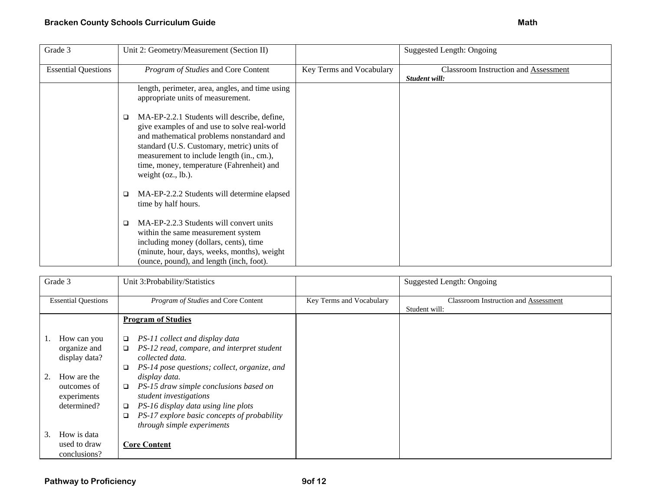| Grade 3                    | Unit 2: Geometry/Measurement (Section II)                                                                                                                                                                                                                                                                     |                          | Suggested Length: Ongoing                                    |
|----------------------------|---------------------------------------------------------------------------------------------------------------------------------------------------------------------------------------------------------------------------------------------------------------------------------------------------------------|--------------------------|--------------------------------------------------------------|
| <b>Essential Questions</b> | Program of Studies and Core Content                                                                                                                                                                                                                                                                           | Key Terms and Vocabulary | <b>Classroom Instruction and Assessment</b><br>Student will: |
|                            | length, perimeter, area, angles, and time using<br>appropriate units of measurement.                                                                                                                                                                                                                          |                          |                                                              |
|                            | MA-EP-2.2.1 Students will describe, define,<br>□<br>give examples of and use to solve real-world<br>and mathematical problems nonstandard and<br>standard (U.S. Customary, metric) units of<br>measurement to include length (in., cm.),<br>time, money, temperature (Fahrenheit) and<br>weight $(oz., lb.).$ |                          |                                                              |
|                            | MA-EP-2.2.2 Students will determine elapsed<br>□<br>time by half hours.                                                                                                                                                                                                                                       |                          |                                                              |
|                            | MA-EP-2.2.3 Students will convert units<br>□<br>within the same measurement system<br>including money (dollars, cents), time<br>(minute, hour, days, weeks, months), weight<br>(ounce, pound), and length (inch, foot).                                                                                       |                          |                                                              |

| Grade 3                                                                                                  | Unit 3:Probability/Statistics                                                                                                                                                                                                                                                                                                                                                                                        |                          | Suggested Length: Ongoing                                    |
|----------------------------------------------------------------------------------------------------------|----------------------------------------------------------------------------------------------------------------------------------------------------------------------------------------------------------------------------------------------------------------------------------------------------------------------------------------------------------------------------------------------------------------------|--------------------------|--------------------------------------------------------------|
| <b>Essential Questions</b>                                                                               | Program of Studies and Core Content                                                                                                                                                                                                                                                                                                                                                                                  | Key Terms and Vocabulary | <b>Classroom Instruction and Assessment</b><br>Student will: |
|                                                                                                          | <b>Program of Studies</b>                                                                                                                                                                                                                                                                                                                                                                                            |                          |                                                              |
| How can you<br>organize and<br>display data?<br>How are the<br>outcomes of<br>experiments<br>determined? | PS-11 collect and display data<br>$\Box$<br>PS-12 read, compare, and interpret student<br>$\Box$<br>collected data.<br>PS-14 pose questions; collect, organize, and<br>$\Box$<br>display data.<br>PS-15 draw simple conclusions based on<br>$\Box$<br>student investigations<br>PS-16 display data using line plots<br>$\Box$<br>PS-17 explore basic concepts of probability<br>$\Box$<br>through simple experiments |                          |                                                              |
| How is data<br>3.<br>used to draw<br>conclusions?                                                        | <b>Core Content</b>                                                                                                                                                                                                                                                                                                                                                                                                  |                          |                                                              |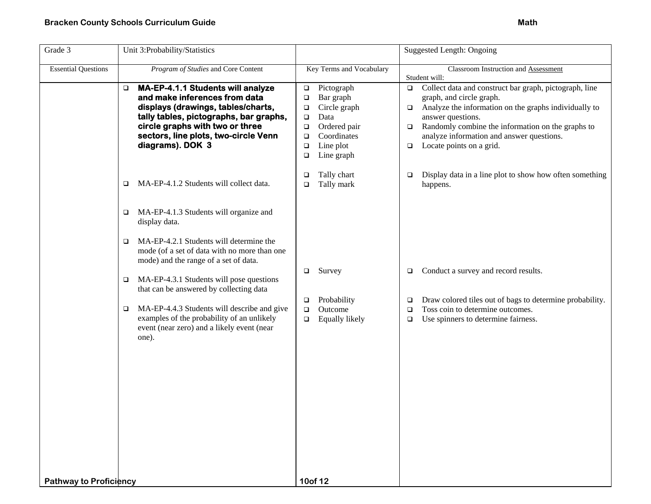| Grade 3                       | Unit 3:Probability/Statistics                                                                                                                                                                                                                                 |                                                                                                                                                                                           | <b>Suggested Length: Ongoing</b>                                                                                                                                                                                                                                                                                                       |
|-------------------------------|---------------------------------------------------------------------------------------------------------------------------------------------------------------------------------------------------------------------------------------------------------------|-------------------------------------------------------------------------------------------------------------------------------------------------------------------------------------------|----------------------------------------------------------------------------------------------------------------------------------------------------------------------------------------------------------------------------------------------------------------------------------------------------------------------------------------|
| <b>Essential Questions</b>    | Program of Studies and Core Content                                                                                                                                                                                                                           | Key Terms and Vocabulary                                                                                                                                                                  | Classroom Instruction and Assessment<br>Student will:                                                                                                                                                                                                                                                                                  |
|                               | <b>MA-EP-4.1.1 Students will analyze</b><br>□<br>and make inferences from data<br>displays (drawings, tables/charts,<br>tally tables, pictographs, bar graphs,<br>circle graphs with two or three<br>sectors, line plots, two-circle Venn<br>diagrams). DOK 3 | Pictograph<br>$\Box$<br>Bar graph<br>$\Box$<br>Circle graph<br>$\Box$<br>Data<br>$\Box$<br>Ordered pair<br>$\Box$<br>Coordinates<br>$\Box$<br>Line plot<br>$\Box$<br>Line graph<br>$\Box$ | Collect data and construct bar graph, pictograph, line<br>$\Box$<br>graph, and circle graph.<br>Analyze the information on the graphs individually to<br>$\Box$<br>answer questions.<br>Randomly combine the information on the graphs to<br>$\Box$<br>analyze information and answer questions.<br>Locate points on a grid.<br>$\Box$ |
|                               | MA-EP-4.1.2 Students will collect data.<br>$\Box$                                                                                                                                                                                                             | Tally chart<br>$\Box$<br>Tally mark<br>$\Box$                                                                                                                                             | Display data in a line plot to show how often something<br>$\Box$<br>happens.                                                                                                                                                                                                                                                          |
|                               | MA-EP-4.1.3 Students will organize and<br>$\Box$<br>display data.                                                                                                                                                                                             |                                                                                                                                                                                           |                                                                                                                                                                                                                                                                                                                                        |
|                               | MA-EP-4.2.1 Students will determine the<br>□<br>mode (of a set of data with no more than one<br>mode) and the range of a set of data.                                                                                                                         |                                                                                                                                                                                           |                                                                                                                                                                                                                                                                                                                                        |
|                               | MA-EP-4.3.1 Students will pose questions<br>❏<br>that can be answered by collecting data                                                                                                                                                                      | Survey<br>$\Box$                                                                                                                                                                          | Conduct a survey and record results.<br>□                                                                                                                                                                                                                                                                                              |
|                               | MA-EP-4.4.3 Students will describe and give<br>$\Box$<br>examples of the probability of an unlikely<br>event (near zero) and a likely event (near<br>one).                                                                                                    | Probability<br>$\Box$<br>Outcome<br>$\Box$<br>Equally likely<br>$\Box$                                                                                                                    | Draw colored tiles out of bags to determine probability.<br>□<br>Toss coin to determine outcomes.<br>$\Box$<br>Use spinners to determine fairness.<br>$\Box$                                                                                                                                                                           |
| <b>Pathway to Proficiency</b> |                                                                                                                                                                                                                                                               | 10of 12                                                                                                                                                                                   |                                                                                                                                                                                                                                                                                                                                        |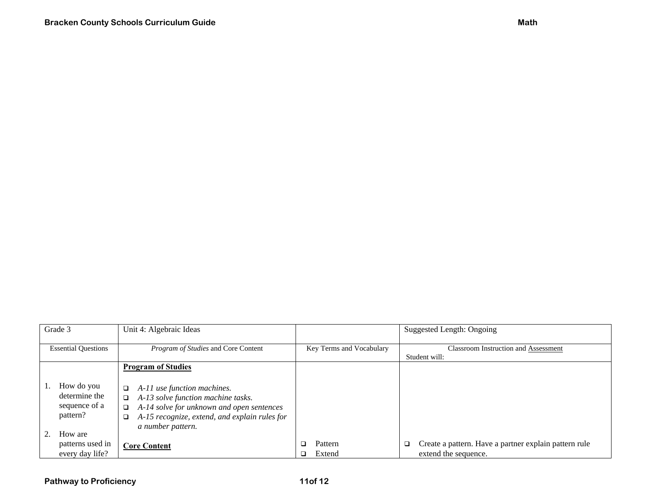| Grade 3                                                  | Unit 4: Algebraic Ideas                                                                                                                                                                             |                          | Suggested Length: Ongoing                                                           |
|----------------------------------------------------------|-----------------------------------------------------------------------------------------------------------------------------------------------------------------------------------------------------|--------------------------|-------------------------------------------------------------------------------------|
| <b>Essential Questions</b>                               | Program of Studies and Core Content                                                                                                                                                                 | Key Terms and Vocabulary | <b>Classroom Instruction and Assessment</b><br>Student will:                        |
|                                                          | <b>Program of Studies</b>                                                                                                                                                                           |                          |                                                                                     |
| How do you<br>determine the<br>sequence of a<br>pattern? | A-11 use function machines.<br>$\Box$<br>A-13 solve function machine tasks.<br>A-14 solve for unknown and open sentences<br>A-15 recognize, extend, and explain rules for<br>❏<br>a number pattern. |                          |                                                                                     |
| How are<br>patterns used in<br>every day life?           | <b>Core Content</b>                                                                                                                                                                                 | Pattern<br>Extend        | Create a pattern. Have a partner explain pattern rule<br>O.<br>extend the sequence. |